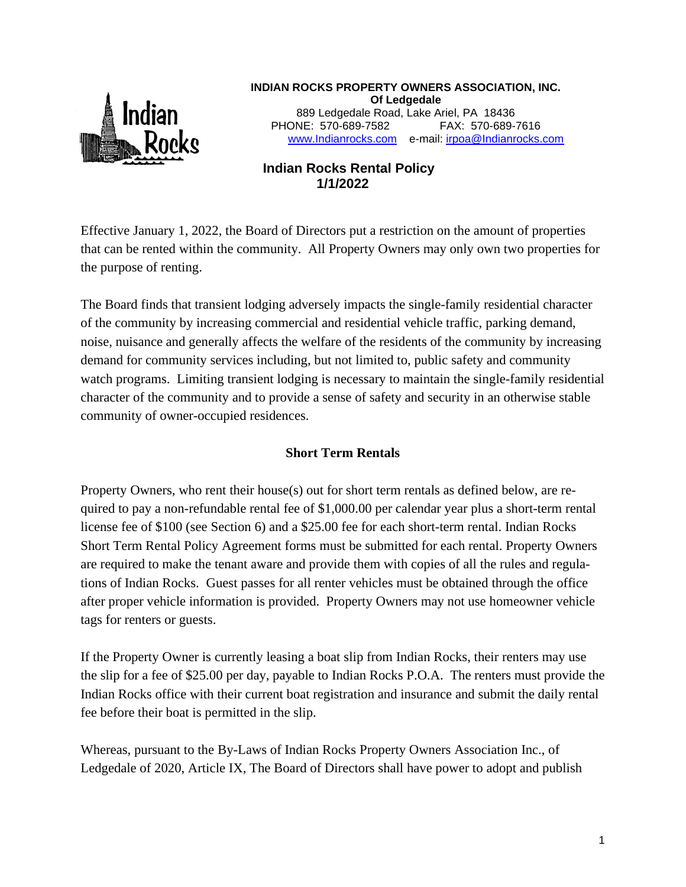

**INDIAN ROCKS PROPERTY OWNERS ASSOCIATION, INC. Of Ledgedale** 889 Ledgedale Road, Lake Ariel, PA 18436 PHONE: 570-689-7582 FAX: 570-689-7616 [www.Indianrocks.com](http://www.indianrocks.com/) e-mail: [irpoa@Indianrocks.com](mailto:irpoa@indianrocks.com)

# **Indian Rocks Rental Policy 1/1/2022**

Effective January 1, 2022, the Board of Directors put a restriction on the amount of properties that can be rented within the community. All Property Owners may only own two properties for the purpose of renting.

The Board finds that transient lodging adversely impacts the single-family residential character of the community by increasing commercial and residential vehicle traffic, parking demand, noise, nuisance and generally affects the welfare of the residents of the community by increasing demand for community services including, but not limited to, public safety and community watch programs. Limiting transient lodging is necessary to maintain the single-family residential character of the community and to provide a sense of safety and security in an otherwise stable community of owner-occupied residences.

# **Short Term Rentals**

Property Owners, who rent their house(s) out for short term rentals as defined below, are required to pay a non-refundable rental fee of \$1,000.00 per calendar year plus a short-term rental license fee of \$100 (see Section 6) and a \$25.00 fee for each short-term rental. Indian Rocks Short Term Rental Policy Agreement forms must be submitted for each rental. Property Owners are required to make the tenant aware and provide them with copies of all the rules and regulations of Indian Rocks. Guest passes for all renter vehicles must be obtained through the office after proper vehicle information is provided. Property Owners may not use homeowner vehicle tags for renters or guests.

If the Property Owner is currently leasing a boat slip from Indian Rocks, their renters may use the slip for a fee of \$25.00 per day, payable to Indian Rocks P.O.A. The renters must provide the Indian Rocks office with their current boat registration and insurance and submit the daily rental fee before their boat is permitted in the slip.

Whereas, pursuant to the By-Laws of Indian Rocks Property Owners Association Inc., of Ledgedale of 2020, Article IX, The Board of Directors shall have power to adopt and publish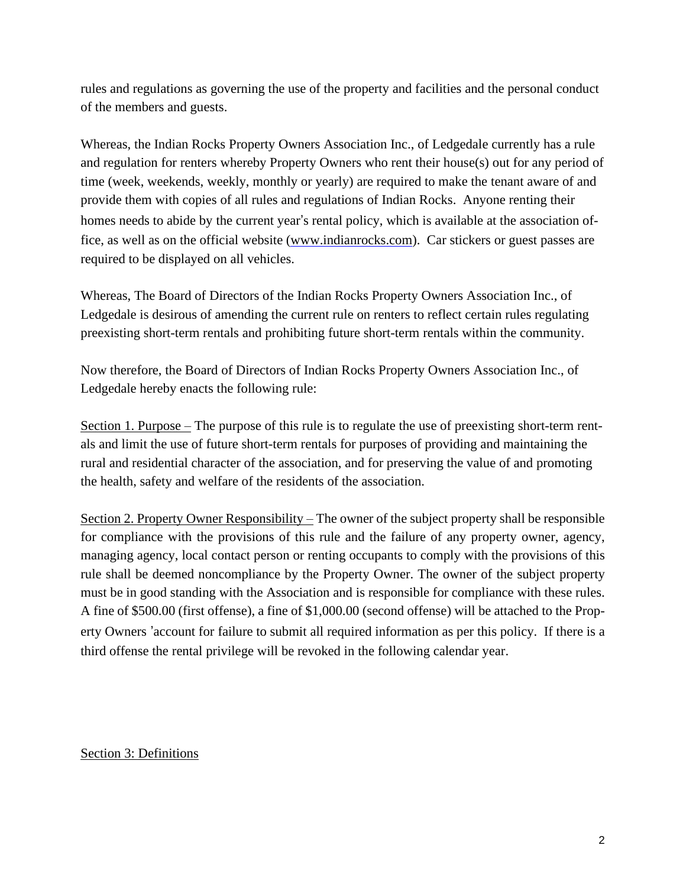rules and regulations as governing the use of the property and facilities and the personal conduct of the members and guests.

Whereas, the Indian Rocks Property Owners Association Inc., of Ledgedale currently has a rule and regulation for renters whereby Property Owners who rent their house(s) out for any period of time (week, weekends, weekly, monthly or yearly) are required to make the tenant aware of and provide them with copies of all rules and regulations of Indian Rocks. Anyone renting their homes needs to abide by the current year's rental policy, which is available at the association office, as well as on the official website [\(www.indianrocks.com\)](http://www.indianrocks.com/). Car stickers or guest passes are required to be displayed on all vehicles.

Whereas, The Board of Directors of the Indian Rocks Property Owners Association Inc., of Ledgedale is desirous of amending the current rule on renters to reflect certain rules regulating preexisting short-term rentals and prohibiting future short-term rentals within the community.

Now therefore, the Board of Directors of Indian Rocks Property Owners Association Inc., of Ledgedale hereby enacts the following rule:

Section 1. Purpose – The purpose of this rule is to regulate the use of preexisting short-term rentals and limit the use of future short-term rentals for purposes of providing and maintaining the rural and residential character of the association, and for preserving the value of and promoting the health, safety and welfare of the residents of the association.

Section 2. Property Owner Responsibility – The owner of the subject property shall be responsible for compliance with the provisions of this rule and the failure of any property owner, agency, managing agency, local contact person or renting occupants to comply with the provisions of this rule shall be deemed noncompliance by the Property Owner. The owner of the subject property must be in good standing with the Association and is responsible for compliance with these rules. A fine of \$500.00 (first offense), a fine of \$1,000.00 (second offense) will be attached to the Property Owners 'account for failure to submit all required information as per this policy. If there is a third offense the rental privilege will be revoked in the following calendar year.

Section 3: Definitions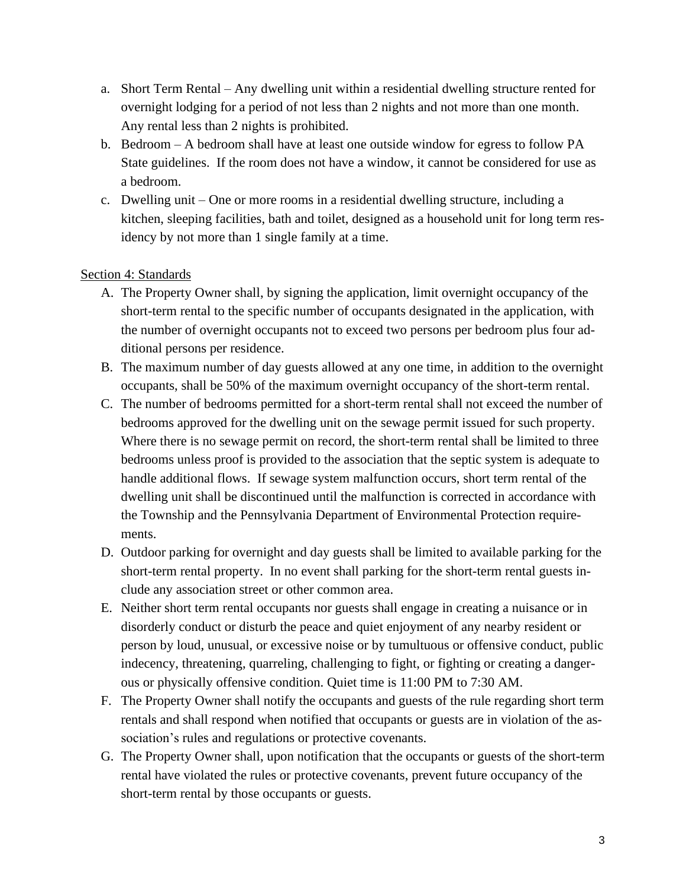- a. Short Term Rental Any dwelling unit within a residential dwelling structure rented for overnight lodging for a period of not less than 2 nights and not more than one month. Any rental less than 2 nights is prohibited.
- b. Bedroom A bedroom shall have at least one outside window for egress to follow PA State guidelines. If the room does not have a window, it cannot be considered for use as a bedroom.
- c. Dwelling unit One or more rooms in a residential dwelling structure, including a kitchen, sleeping facilities, bath and toilet, designed as a household unit for long term residency by not more than 1 single family at a time.

## Section 4: Standards

- A. The Property Owner shall, by signing the application, limit overnight occupancy of the short-term rental to the specific number of occupants designated in the application, with the number of overnight occupants not to exceed two persons per bedroom plus four additional persons per residence.
- B. The maximum number of day guests allowed at any one time, in addition to the overnight occupants, shall be 50% of the maximum overnight occupancy of the short-term rental.
- C. The number of bedrooms permitted for a short-term rental shall not exceed the number of bedrooms approved for the dwelling unit on the sewage permit issued for such property. Where there is no sewage permit on record, the short-term rental shall be limited to three bedrooms unless proof is provided to the association that the septic system is adequate to handle additional flows. If sewage system malfunction occurs, short term rental of the dwelling unit shall be discontinued until the malfunction is corrected in accordance with the Township and the Pennsylvania Department of Environmental Protection requirements.
- D. Outdoor parking for overnight and day guests shall be limited to available parking for the short-term rental property. In no event shall parking for the short-term rental guests include any association street or other common area.
- E. Neither short term rental occupants nor guests shall engage in creating a nuisance or in disorderly conduct or disturb the peace and quiet enjoyment of any nearby resident or person by loud, unusual, or excessive noise or by tumultuous or offensive conduct, public indecency, threatening, quarreling, challenging to fight, or fighting or creating a dangerous or physically offensive condition. Quiet time is 11:00 PM to 7:30 AM.
- F. The Property Owner shall notify the occupants and guests of the rule regarding short term rentals and shall respond when notified that occupants or guests are in violation of the association's rules and regulations or protective covenants.
- G. The Property Owner shall, upon notification that the occupants or guests of the short-term rental have violated the rules or protective covenants, prevent future occupancy of the short-term rental by those occupants or guests.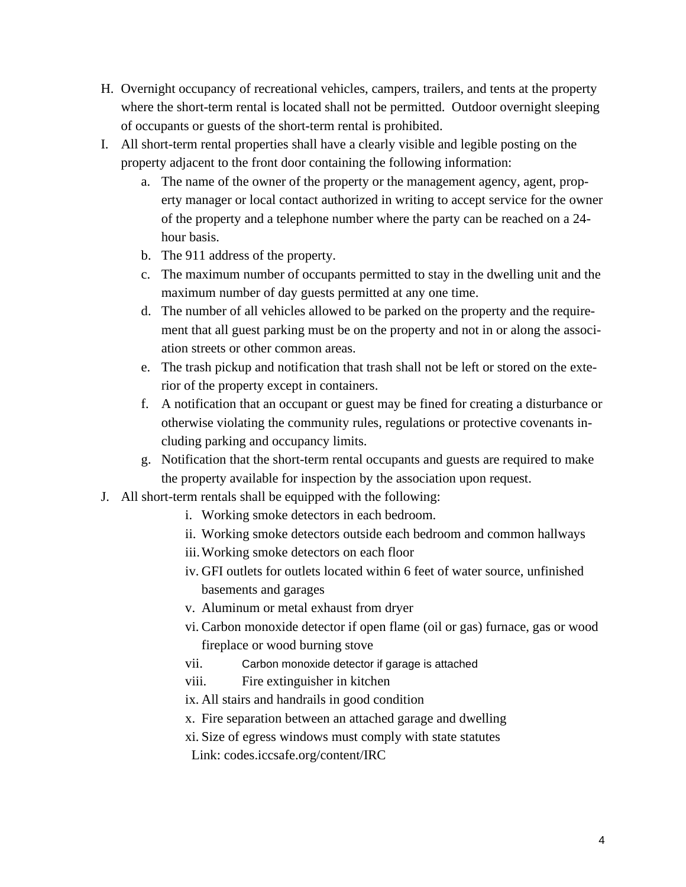- H. Overnight occupancy of recreational vehicles, campers, trailers, and tents at the property where the short-term rental is located shall not be permitted. Outdoor overnight sleeping of occupants or guests of the short-term rental is prohibited.
- I. All short-term rental properties shall have a clearly visible and legible posting on the property adjacent to the front door containing the following information:
	- a. The name of the owner of the property or the management agency, agent, property manager or local contact authorized in writing to accept service for the owner of the property and a telephone number where the party can be reached on a 24 hour basis.
	- b. The 911 address of the property.
	- c. The maximum number of occupants permitted to stay in the dwelling unit and the maximum number of day guests permitted at any one time.
	- d. The number of all vehicles allowed to be parked on the property and the requirement that all guest parking must be on the property and not in or along the association streets or other common areas.
	- e. The trash pickup and notification that trash shall not be left or stored on the exterior of the property except in containers.
	- f. A notification that an occupant or guest may be fined for creating a disturbance or otherwise violating the community rules, regulations or protective covenants including parking and occupancy limits.
	- g. Notification that the short-term rental occupants and guests are required to make the property available for inspection by the association upon request.
- J. All short-term rentals shall be equipped with the following:
	- i. Working smoke detectors in each bedroom.
	- ii. Working smoke detectors outside each bedroom and common hallways
	- iii.Working smoke detectors on each floor
	- iv. GFI outlets for outlets located within 6 feet of water source, unfinished basements and garages
	- v. Aluminum or metal exhaust from dryer
	- vi. Carbon monoxide detector if open flame (oil or gas) furnace, gas or wood fireplace or wood burning stove
	- vii. Carbon monoxide detector if garage is attached
	- viii. Fire extinguisher in kitchen
	- ix. All stairs and handrails in good condition
	- x. Fire separation between an attached garage and dwelling
	- xi. Size of egress windows must comply with state statutes
	- Link: codes.iccsafe.org/content/IRC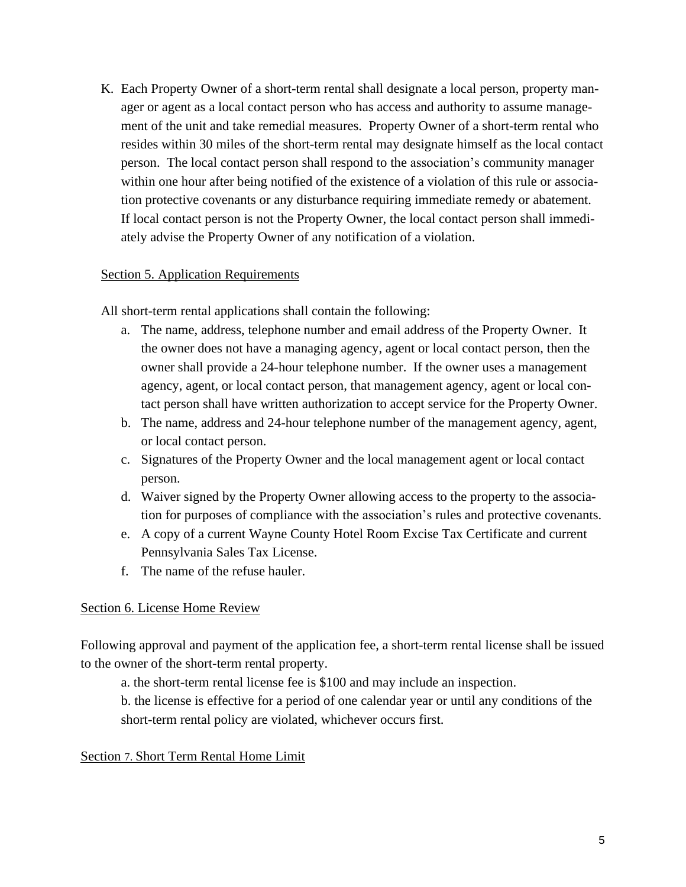K. Each Property Owner of a short-term rental shall designate a local person, property manager or agent as a local contact person who has access and authority to assume management of the unit and take remedial measures. Property Owner of a short-term rental who resides within 30 miles of the short-term rental may designate himself as the local contact person. The local contact person shall respond to the association's community manager within one hour after being notified of the existence of a violation of this rule or association protective covenants or any disturbance requiring immediate remedy or abatement. If local contact person is not the Property Owner, the local contact person shall immediately advise the Property Owner of any notification of a violation.

#### Section 5. Application Requirements

All short-term rental applications shall contain the following:

- a. The name, address, telephone number and email address of the Property Owner. It the owner does not have a managing agency, agent or local contact person, then the owner shall provide a 24-hour telephone number. If the owner uses a management agency, agent, or local contact person, that management agency, agent or local contact person shall have written authorization to accept service for the Property Owner.
- b. The name, address and 24-hour telephone number of the management agency, agent, or local contact person.
- c. Signatures of the Property Owner and the local management agent or local contact person.
- d. Waiver signed by the Property Owner allowing access to the property to the association for purposes of compliance with the association's rules and protective covenants.
- e. A copy of a current Wayne County Hotel Room Excise Tax Certificate and current Pennsylvania Sales Tax License.
- f. The name of the refuse hauler.

### Section 6. License Home Review

Following approval and payment of the application fee, a short-term rental license shall be issued to the owner of the short-term rental property.

a. the short-term rental license fee is \$100 and may include an inspection.

b. the license is effective for a period of one calendar year or until any conditions of the short-term rental policy are violated, whichever occurs first.

#### Section 7. Short Term Rental Home Limit